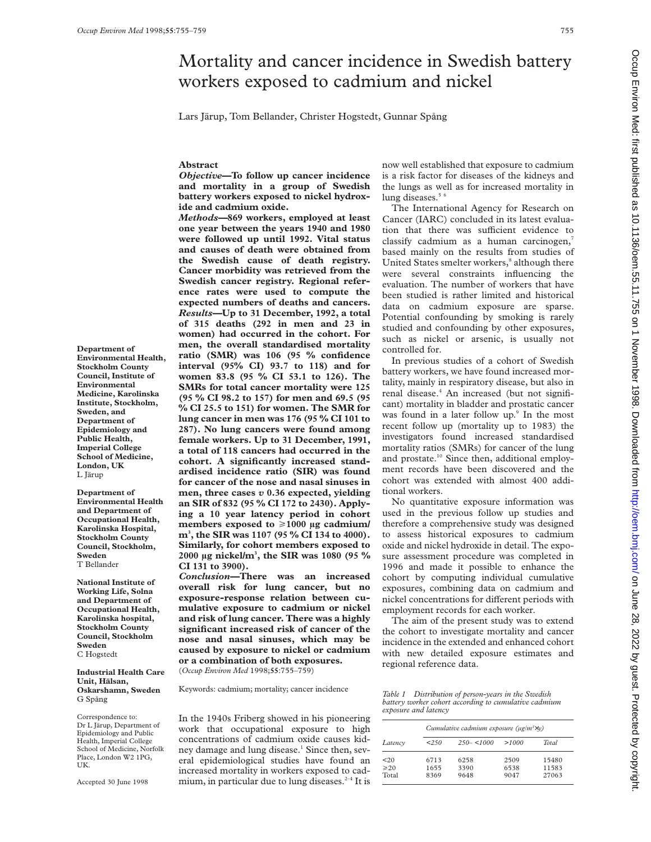# Mortality and cancer incidence in Swedish battery workers exposed to cadmium and nickel

Lars Järup, Tom Bellander, Christer Hogstedt, Gunnar Spång

# **Abstract**

*Objective***—To follow up cancer incidence and mortality in a group of Swedish battery workers exposed to nickel hydroxide and cadmium oxide.**

*Methods—***869 workers, employed at least one year between the years 1940 and 1980 were followed up until 1992. Vital status and causes of death were obtained from the Swedish cause of death registry. Cancer morbidity was retrieved from the Swedish cancer registry. Regional reference rates were used to compute the expected numbers of deaths and cancers.** *Results—***Up to 31 December, 1992, a total of 315 deaths (292 in men and 23 in women) had occurred in the cohort. For men, the overall standardised mortality ratio (SMR) was 106 (95 % confidence interval (95% CI) 93.7 to 118) and for women 83.8 (95 % CI 53.1 to 126). The SMRs for total cancer mortality were 125 (95 % CI 98.2 to 157) for men and 69.5 (95 % CI 25.5 to 151) for women. The SMR for lung cancer in men was 176 (95 % CI 101 to 287). No lung cancers were found among female workers. Up to 31 December, 1991, a total of 118 cancers had occurred in the cohort. A significantly increased standardised incidence ratio (SIR) was found for cancer of the nose and nasal sinuses in men, three cases** *v* **0.36 expected, yielding an SIR of 832 (95 % CI 172 to 2430). Applying a 10 year latency period in cohort** members exposed to ≥1000 µg cadmium/ **m3 , the SIR was 1107 (95 % CI 134 to 4000). Similarly, for cohort members exposed to 2000 µg nickel/m3 , the SIR was 1080 (95 % CI 131 to 3900).**

*Conclusion—***There was an increased overall risk for lung cancer, but no exposure-response relation between cumulative exposure to cadmium or nickel and risk of lung cancer. There was a highly significant increased risk of cancer of the nose and nasal sinuses, which may be caused by exposure to nickel or cadmium or a combination of both exposures.** (*Occup Environ Med* 1998;**55**:755–759)

Keywords: cadmium; mortality; cancer incidence

In the 1940s Friberg showed in his pioneering work that occupational exposure to high concentrations of cadmium oxide causes kidney damage and lung disease.<sup>1</sup> Since then, several epidemiological studies have found an increased mortality in workers exposed to cadmium, in particular due to lung diseases. $2-4$  It is

now well established that exposure to cadmium is a risk factor for diseases of the kidneys and the lungs as well as for increased mortality in lung diseases.<sup>5 6</sup>

The International Agency for Research on Cancer (IARC) concluded in its latest evaluation that there was sufficient evidence to classify cadmium as a human carcinogen, $7$ based mainly on the results from studies of United States smelter workers,<sup>8</sup> although there were several constraints influencing the evaluation. The number of workers that have been studied is rather limited and historical data on cadmium exposure are sparse. Potential confounding by smoking is rarely studied and confounding by other exposures, such as nickel or arsenic, is usually not controlled for.

In previous studies of a cohort of Swedish battery workers, we have found increased mortality, mainly in respiratory disease, but also in renal disease.<sup>4</sup> An increased (but not significant) mortality in bladder and prostatic cancer was found in a later follow up.<sup>9</sup> In the most recent follow up (mortality up to 1983) the investigators found increased standardised mortality ratios (SMRs) for cancer of the lung and prostate.<sup>10</sup> Since then, additional employment records have been discovered and the cohort was extended with almost 400 additional workers.

No quantitative exposure information was used in the previous follow up studies and therefore a comprehensive study was designed to assess historical exposures to cadmium oxide and nickel hydroxide in detail. The exposure assessment procedure was completed in 1996 and made it possible to enhance the cohort by computing individual cumulative exposures, combining data on cadmium and nickel concentrations for different periods with employment records for each worker.

The aim of the present study was to extend the cohort to investigate mortality and cancer incidence in the extended and enhanced cohort with new detailed exposure estimates and regional reference data.

*Table 1 Distribution of person-years in the Swedish battery worker cohort according to cumulative cadmium exposure and latency*

|                | Cumulative cadmium exposure ( $\mu$ g/m <sup>3</sup> $\times$ y) |               |       |       |  |  |  |  |
|----------------|------------------------------------------------------------------|---------------|-------|-------|--|--|--|--|
| Latency        | 250                                                              | $250 - 51000$ | >1000 | Total |  |  |  |  |
| 20             | 6713                                                             | 6258          | 2509  | 15480 |  |  |  |  |
| $\geqslant$ 20 | 1655                                                             | 3390          | 6538  | 11583 |  |  |  |  |
| Total          | 8369                                                             | 9648          | 9047  | 27063 |  |  |  |  |

**Department of Environmental Health, Stockholm County Council, Institute of Environmental Medicine, Karolinska Institute, Stockholm, Sweden, and Department of Epidemiology and Public Health, Imperial College School of Medicine, London, UK** L Järup

**Department of Environmental Health and Department of Occupational Health, Karolinska Hospital, Stockholm County Council, Stockholm, Sweden** T Bellander

**National Institute of Working Life, Solna and Department of Occupational Health, Karolinska hospital, Stockholm County Council, Stockholm Sweden** C Hogstedt

**Industrial Health Care Unit, Hälsan, Oskarshamn, Sweden** G Spång

Correspondence to: Dr L Järup, Department of Epidemiology and Public Health, Imperial College School of Medicine, Norfolk Place, London W2 1PG, UK.

Accepted 30 June 1998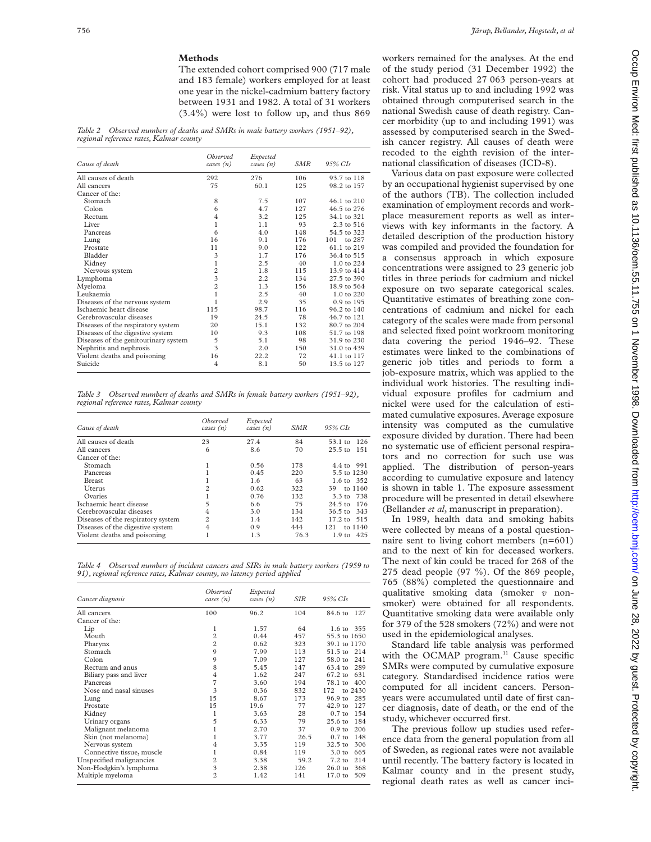## **Methods**

The extended cohort comprised 900 (717 male and 183 female) workers employed for at least one year in the nickel-cadmium battery factory between 1931 and 1982. A total of 31 workers (3.4%) were lost to follow up, and thus 869

*Table 2 Observed numbers of deaths and SMRs in male battery workers (1951–92), regional reference rates, Kalmar county*

| Cause of death                       | <i>Observed</i><br>cases (n) | Expected<br>cases $(n)$ | SMR | 95% CIs       |
|--------------------------------------|------------------------------|-------------------------|-----|---------------|
| All causes of death                  | 292                          | 276                     | 106 | 93.7 to 118   |
| All cancers                          | 75                           | 60.1                    | 125 | 98.2 to 157   |
| Cancer of the:                       |                              |                         |     |               |
| Stomach                              | 8                            | 7.5                     | 107 | 46.1 to 210   |
| Colon                                | 6                            | 4.7                     | 127 | 46.5 to 276   |
| Rectum                               | $\overline{4}$               | 3.2                     | 125 | 34.1 to 321   |
| Liver                                | $\mathbf{1}$                 | 1.1                     | 93  | 2.3 to 516    |
| Pancreas                             | 6                            | 4.0                     | 148 | 54.5 to 323   |
| Lung                                 | 16                           | 9.1                     | 176 | to 287<br>101 |
| Prostate                             | 11                           | 9.0                     | 122 | 61.1 to 219   |
| Bladder                              | 3                            | 1.7                     | 176 | 36.4 to 515   |
| Kidney                               | $\mathbf{1}$                 | 2.5                     | 40  | 1.0 to 224    |
| Nervous system                       | $\overline{c}$               | 1.8                     | 115 | 13.9 to 414   |
| Lymphoma                             | $\overline{\mathbf{3}}$      | 2.2                     | 134 | 27.5 to 390   |
| Myeloma                              | $\overline{c}$               | 1.3                     | 156 | 18.9 to 564   |
| Leukaemia                            | 1                            | 2.5                     | 40  | 1.0 to 220    |
| Diseases of the nervous system       | 1                            | 2.9                     | 35  | 0.9 to 195    |
| Ischaemic heart disease              | 115                          | 98.7                    | 116 | 96.2 to 140   |
| Cerebrovascular diseases             | 19                           | 24.5                    | 78  | 46.7 to 121   |
| Diseases of the respiratory system   | 20                           | 15.1                    | 132 | 80.7 to 204   |
| Diseases of the digestive system     | 10                           | 9.3                     | 108 | 51.7 to 198   |
| Diseases of the genitourinary system | 5                            | 5.1                     | 98  | 31.9 to 230   |
| Nephritis and nephrosis              | 3                            | 2.0                     | 150 | 31.0 to 439   |
| Violent deaths and poisoning         | 16                           | 22.2                    | 72  | 41.1 to 117   |
| Suicide                              | 4                            | 8.1                     | 50  | 13.5 to 127   |

*Table 3 Observed numbers of deaths and SMRs in female battery workers (1951–92), regional reference rates, Kalmar county*

| Cause of death                     | <i>Observed</i><br>cases $(n)$ | Expected<br>cases $(n)$ | SMR  | 95% CIs                  |
|------------------------------------|--------------------------------|-------------------------|------|--------------------------|
| All causes of death                | 23                             | 27.4                    | 84   | 126<br>53.1 to           |
| All cancers                        | 6                              | 8.6                     | 70   | $25.5$ to<br>151         |
| Cancer of the:                     |                                |                         |      |                          |
| Stomach                            |                                | 0.56                    | 178  | 4.4 to 991               |
| Pancreas                           |                                | 0.45                    | 220  | 5.5 to 1230              |
| <b>Breast</b>                      |                                | 1.6                     | 63   | 1.6 to 352               |
| <b>U</b> terus                     | 2                              | 0.62                    | 322  | to 1160<br>39            |
| Ovaries                            |                                | 0.76                    | 132  | 3.3 to 738               |
| Ischaemic heart disease            | 5                              | 6.6                     | 75   | $24.5 \text{ to}$<br>176 |
| Cerebrovascular diseases           | 4                              | 3.0                     | 134  | 36.5 to 343              |
| Diseases of the respiratory system | $\overline{c}$                 | 1.4                     | 142  | 17.2 to 515              |
| Diseases of the digestive system   | 4                              | 0.9                     | 444  | 121<br>to $1140$         |
| Violent deaths and poisoning       |                                | 1.3                     | 76.3 | 1.9 to 425               |

*Table 4 Observed numbers of incident cancers and SIRs in male battery workers (1959 to 91), regional reference rates, Kalmar county, no latency period applied*

| Cancer diagnosis          | Observed<br>cases (n)   | Expected<br>cases (n) | SIR  | $95\%$ CIs                |
|---------------------------|-------------------------|-----------------------|------|---------------------------|
| All cancers               | 100                     | 96.2                  | 104  | 84.6 to 127               |
| Cancer of the:            |                         |                       |      |                           |
| Lip                       | 1                       | 1.57                  | 64   | 1.6 to 355                |
| Mouth                     | $\overline{c}$          | 0.44                  | 457  | 55.3 to 1650              |
| Pharynx                   | $\overline{c}$          | 0.62                  | 323  | 39.1 to 1170              |
| Stomach                   | 9                       | 7.99                  | 113  | 51.5 to 214               |
| Colon                     | 9                       | 7.09                  | 127  | 241<br>58.0 to            |
| Rectum and anus           | 8                       | 5.45                  | 147  | 63.4 to<br>289            |
| Biliary pass and liver    | $\overline{4}$          | 1.62                  | 247  | $67.2 \text{ to}$<br>631  |
| Pancreas                  | $\overline{7}$          | 3.60                  | 194  | 400<br>78.1 to            |
| Nose and nasal sinuses    | 3                       | 0.36                  | 832  | 172<br>to 2430            |
| Lung                      | 15                      | 8.67                  | 173  | $96.9 \text{ to}$<br>285  |
| Prostate                  | 15                      | 19.6                  | 77   | $42.9$ to<br>127          |
| Kidney                    | 1                       | 3.63                  | 28   | $0.7$ to<br>154           |
| Urinary organs            | 5                       | 6.33                  | 79   | 184<br>$25.6 \text{ to}$  |
| Malignant melanoma        |                         | 2.70                  | 37   | 206<br>0.9 <sub>to</sub>  |
| Skin (not melanoma)       |                         | 3.77                  | 26.5 | $0.7$ to<br>148           |
| Nervous system            | 4                       | 3.35                  | 119  | 306<br>$32.5$ to          |
| Connective tissue, muscle | 1                       | 0.84                  | 119  | 3.0 <sub>to</sub><br>665  |
| Unspecified malignancies  | $\overline{c}$          | 3.38                  | 59.2 | 214<br>$7.2 \text{ to}$   |
| Non-Hodgkin's lymphoma    | $\overline{\mathbf{3}}$ | 2.38                  | 126  | $26.0 \text{ to}$<br>368  |
| Multiple myeloma          | $\overline{c}$          | 1.42                  | 141  | 17.0 <sub>to</sub><br>509 |

workers remained for the analyses. At the end of the study period (31 December 1992) the cohort had produced 27 063 person-years at risk. Vital status up to and including 1992 was obtained through computerised search in the national Swedish cause of death registry. Cancer morbidity (up to and including 1991) was assessed by computerised search in the Swedish cancer registry. All causes of death were recoded to the eighth revision of the international classification of diseases (ICD-8).

Various data on past exposure were collected by an occupational hygienist supervised by one of the authors (TB). The collection included examination of employment records and workplace measurement reports as well as interviews with key informants in the factory. A detailed description of the production history was compiled and provided the foundation for a consensus approach in which exposure concentrations were assigned to 23 generic job titles in three periods for cadmium and nickel exposure on two separate categorical scales. Quantitative estimates of breathing zone concentrations of cadmium and nickel for each category of the scales were made from personal and selected fixed point workroom monitoring data covering the period 1946–92. These estimates were linked to the combinations of generic job titles and periods to form a job-exposure matrix, which was applied to the individual work histories. The resulting individual exposure profiles for cadmium and nickel were used for the calculation of estimated cumulative exposures. Average exposure intensity was computed as the cumulative exposure divided by duration. There had been no systematic use of efficient personal respirators and no correction for such use was applied. The distribution of person-years according to cumulative exposure and latency is shown in table 1. The exposure assessment procedure will be presented in detail elsewhere (Bellander *et al*, manuscript in preparation).

In 1989, health data and smoking habits were collected by means of a postal questionnaire sent to living cohort members (n=601) and to the next of kin for deceased workers. The next of kin could be traced for 268 of the 275 dead people (97 %). Of the 869 people, 765 (88%) completed the questionnaire and qualitative smoking data (smoker *v* nonsmoker) were obtained for all respondents. Quantitative smoking data were available only for 379 of the 528 smokers (72%) and were not used in the epidemiological analyses.

Standard life table analysis was performed with the OCMAP program.<sup>11</sup> Cause specific SMRs were computed by cumulative exposure category. Standardised incidence ratios were computed for all incident cancers. Personyears were accumulated until date of first cancer diagnosis, date of death, or the end of the study, whichever occurred first.

The previous follow up studies used reference data from the general population from all of Sweden, as regional rates were not available until recently. The battery factory is located in Kalmar county and in the present study, regional death rates as well as cancer inci-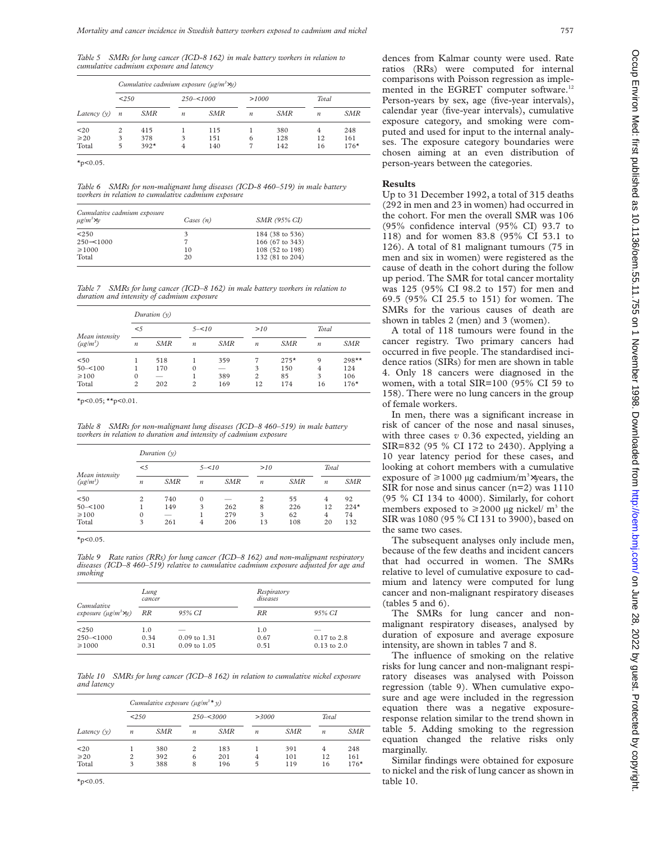*Table 5 SMRs for lung cancer (ICD-8 162) in male battery workers in relation to cumulative cadmium exposure and latency*

|                            |                  | Cumulative cadmium exposure ( $\mu$ g/m <sup>3</sup> $\times$ y) |                  |                   |                  |                   |                  |                      |  |  |  |  |
|----------------------------|------------------|------------------------------------------------------------------|------------------|-------------------|------------------|-------------------|------------------|----------------------|--|--|--|--|
| 250                        |                  |                                                                  | $250 - 51000$    |                   |                  | >1000             |                  | Total                |  |  |  |  |
| Latency $(v)$              | $\boldsymbol{n}$ | SMR                                                              | $\boldsymbol{n}$ | SMR               | $\boldsymbol{n}$ | SMR               | $\boldsymbol{n}$ | SMR                  |  |  |  |  |
| $20$<br>$\geq 20$<br>Total | 2<br>3<br>5      | 415<br>378<br>$392*$                                             | 3                | 115<br>151<br>140 | 6                | 380<br>128<br>142 | 4<br>12<br>16    | 248<br>161<br>$176*$ |  |  |  |  |

 $*_{p<0.05}$ .

*Table 6 SMRs for non-malignant lung diseases (ICD-8 460–519) in male battery workers in relation to cumulative cadmium exposure*

| Cumulative cadmium exposure<br>$\mu$ g/m <sup>3</sup> $\times$ y | Cases $(n)$ | SMR (95% CI)    |  |
|------------------------------------------------------------------|-------------|-----------------|--|
| < 250                                                            |             | 184 (38 to 536) |  |
| $250 - 51000$                                                    |             | 166 (67 to 343) |  |
| $\geq 1000$                                                      | 10          | 108 (52 to 198) |  |
| Total                                                            | 20          | 132 (81 to 204) |  |

*Table 7 SMRs for lung cancer (ICD–8 162) in male battery workers in relation to duration and intensity of cadmium exposure*

| Mean intensity<br>$(\mu g/m^3)$ | Duration $(v)$   |     |                  |                          |                  |        |                  |         |  |  |
|---------------------------------|------------------|-----|------------------|--------------------------|------------------|--------|------------------|---------|--|--|
|                                 | < 5              |     | $5 - 5 = 10$     |                          | >10              |        | Total            |         |  |  |
|                                 | $\boldsymbol{n}$ | SMR | $\boldsymbol{n}$ | SMR                      | $\boldsymbol{n}$ | SMR    | $\boldsymbol{n}$ | SMR     |  |  |
| < 50                            |                  | 518 |                  | 359                      |                  | $275*$ | 9                | $298**$ |  |  |
| $50 - 100$                      |                  | 170 | $\Omega$         | $\overline{\phantom{a}}$ | 3                | 150    | 4                | 124     |  |  |
| $\geq 100$                      | $\Omega$         | --  |                  | 389                      | 2                | 85     | 3                | 106     |  |  |
| Total                           | $\overline{c}$   | 202 | $\overline{c}$   | 169                      | 12               | 174    | 16               | $176*$  |  |  |

 $x_{p}$ <0.05;  $x_{p}$ <0.01.

*Table 8 SMRs for non-malignant lung diseases (ICD–8 460–519) in male battery workers in relation to duration and intensity of cadmium exposure*

| Mean intensity<br>$(\mu g/m^3)$ | Duration $(v)$   |            |                  |            |                  |            |                  |            |  |
|---------------------------------|------------------|------------|------------------|------------|------------------|------------|------------------|------------|--|
|                                 | < 5              |            | $5 - 5 = 10$     |            | >10              |            | Total            |            |  |
|                                 | $\boldsymbol{n}$ | <b>SMR</b> | $\boldsymbol{n}$ | <b>SMR</b> | $\boldsymbol{n}$ | <b>SMR</b> | $\boldsymbol{n}$ | <b>SMR</b> |  |
| < 50                            | $\overline{c}$   | 740        | $\mathbf{0}$     |            | 2                | 55         | 4                | 92         |  |
| $50 - 100$                      |                  | 149        | 3                | 262        | 8                | 226        | 12               | $224*$     |  |
| $\geq 100$                      | $\Omega$         | --         |                  | 279        | 3                | 62         | 4                | 74         |  |
| Total                           | 3                | 261        | 4                | 206        | 13               | 108        | 20               | 132        |  |

 $*_{p<0.05}$ .

*Table 9 Rate ratios (RRs) for lung cancer (ICD–8 162) and non-malignant respiratory diseases (ICD–8 460–519) relative to cumulative cadmium exposure adjusted for age and smoking*

| Cumulative<br>exposure ( $\mu$ g/m <sup>3</sup> $\times$ y) | Lung<br>cancer      |                                           | Respiratory<br>diseases |                                          |
|-------------------------------------------------------------|---------------------|-------------------------------------------|-------------------------|------------------------------------------|
|                                                             | RR                  | 95% CI                                    | <b>RR</b>               | 95% CI                                   |
| < 250<br>$250 - 51000$<br>$\geq 1000$                       | 1.0<br>0.34<br>0.31 | $0.09$ to 1.31<br>$0.09 \text{ to } 1.05$ | 1.0<br>0.67<br>0.51     | __<br>$0.17$ to $2.8$<br>$0.13$ to $2.0$ |

*Table 10 SMRs for lung cancer (ICD–8 162) in relation to cumulative nickel exposure and latency*

| Latency $(v)$              | Cumulative exposure ( $\mu$ g/m <sup>3</sup> * y) |                   |                  |                   |                  |                   |                  |                      |  |  |
|----------------------------|---------------------------------------------------|-------------------|------------------|-------------------|------------------|-------------------|------------------|----------------------|--|--|
|                            | < 250                                             |                   | $250 - 3000$     |                   | >3000            |                   | Total            |                      |  |  |
|                            | $\boldsymbol{n}$                                  | SMR               | $\boldsymbol{n}$ | SMR               | $\boldsymbol{n}$ | SMR               | $\boldsymbol{n}$ | SMR                  |  |  |
| $20$<br>$\geq 20$<br>Total | $\overline{c}$<br>3                               | 380<br>392<br>388 | 2<br>6<br>8      | 183<br>201<br>196 | 4<br>5           | 391<br>101<br>119 | 4<br>12<br>16    | 248<br>161<br>$176*$ |  |  |

 $*_{p<0.05}$ 

dences from Kalmar county were used. Rate ratios (RRs) were computed for internal comparisons with Poisson regression as implemented in the EGRET computer software.<sup>12</sup> Person-years by sex, age (five-year intervals), calendar year (five-year intervals), cumulative exposure category, and smoking were computed and used for input to the internal analyses. The exposure category boundaries were chosen aiming at an even distribution of person-years between the categories.

#### **Results**

Up to 31 December 1992, a total of 315 deaths (292 in men and 23 in women) had occurred in the cohort. For men the overall SMR was 106 (95% confidence interval (95% CI) 93.7 to 118) and for women 83.8 (95% CI 53.1 to 126). A total of 81 malignant tumours (75 in men and six in women) were registered as the cause of death in the cohort during the follow up period. The SMR for total cancer mortality was 125 (95% CI 98.2 to 157) for men and 69.5 (95% CI 25.5 to 151) for women. The SMRs for the various causes of death are shown in tables 2 (men) and 3 (women).

A total of 118 tumours were found in the cancer registry. Two primary cancers had occurred in five people. The standardised incidence ratios (SIRs) for men are shown in table 4. Only 18 cancers were diagnosed in the women, with a total SIR=100 (95% CI 59 to 158). There were no lung cancers in the group of female workers.

In men, there was a significant increase in risk of cancer of the nose and nasal sinuses, with three cases *v* 0.36 expected, yielding an SIR=832 (95 % CI 172 to 2430). Applying a 10 year latency period for these cases, and looking at cohort members with a cumulative exposure of  $\geq 1000$  µg cadmium/m<sup>3</sup> $\times$ years, the SIR for nose and sinus cancer (n=2) was 1110 (95 % CI 134 to 4000). Similarly, for cohort members exposed to  $\geq$  2000 µg nickel/ m<sup>3</sup> the SIR was 1080 (95 % CI 131 to 3900), based on the same two cases.

The subsequent analyses only include men, because of the few deaths and incident cancers that had occurred in women. The SMRs relative to level of cumulative exposure to cadmium and latency were computed for lung cancer and non-malignant respiratory diseases  $(tables 5 and 6).$ 

The SMRs for lung cancer and nonmalignant respiratory diseases, analysed by duration of exposure and average exposure intensity, are shown in tables 7 and 8.

The influence of smoking on the relative risks for lung cancer and non-malignant respiratory diseases was analysed with Poisson regression (table 9). When cumulative exposure and age were included in the regression equation there was a negative exposureresponse relation similar to the trend shown in table 5. Adding smoking to the regression equation changed the relative risks only marginally.

Similar findings were obtained for exposure to nickel and the risk of lung cancer as shown in table 10.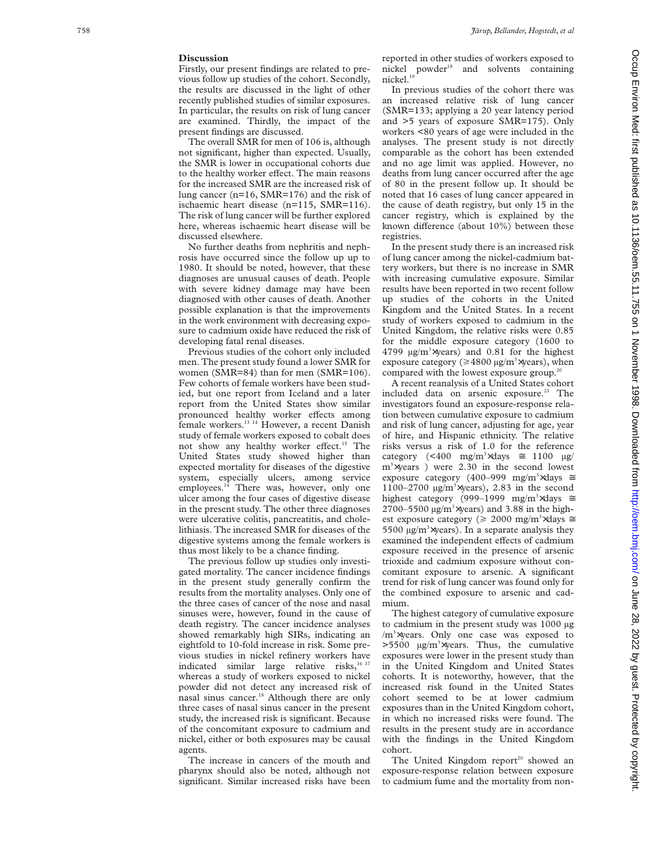### **Discussion**

Firstly, our present findings are related to previous follow up studies of the cohort. Secondly, the results are discussed in the light of other recently published studies of similar exposures. In particular, the results on risk of lung cancer are examined. Thirdly, the impact of the present findings are discussed.

The overall SMR for men of 106 is, although not significant, higher than expected. Usually, the SMR is lower in occupational cohorts due to the healthy worker effect. The main reasons for the increased SMR are the increased risk of lung cancer (n=16, SMR=176) and the risk of ischaemic heart disease (n=115, SMR=116). The risk of lung cancer will be further explored here, whereas ischaemic heart disease will be discussed elsewhere.

No further deaths from nephritis and nephrosis have occurred since the follow up up to 1980. It should be noted, however, that these diagnoses are unusual causes of death. People with severe kidney damage may have been diagnosed with other causes of death. Another possible explanation is that the improvements in the work environment with decreasing exposure to cadmium oxide have reduced the risk of developing fatal renal diseases.

Previous studies of the cohort only included men. The present study found a lower SMR for women (SMR=84) than for men (SMR=106). Few cohorts of female workers have been studied, but one report from Iceland and a later report from the United States show similar pronounced healthy worker effects among female workers.13 14 However, a recent Danish study of female workers exposed to cobalt does not show any healthy worker effect.<sup>15</sup> The United States study showed higher than expected mortality for diseases of the digestive system, especially ulcers, among service employees.<sup>14</sup> There was, however, only one ulcer among the four cases of digestive disease in the present study. The other three diagnoses were ulcerative colitis, pancreatitis, and cholelithiasis. The increased SMR for diseases of the digestive systems among the female workers is thus most likely to be a chance finding.

The previous follow up studies only investigated mortality. The cancer incidence findings in the present study generally confirm the results from the mortality analyses. Only one of the three cases of cancer of the nose and nasal sinuses were, however, found in the cause of death registry. The cancer incidence analyses showed remarkably high SIRs, indicating an eightfold to 10-fold increase in risk. Some previous studies in nickel refinery workers have indicated similar large relative risks,<sup>16 17</sup> whereas a study of workers exposed to nickel powder did not detect any increased risk of nasal sinus cancer.<sup>18</sup> Although there are only three cases of nasal sinus cancer in the present study, the increased risk is significant. Because of the concomitant exposure to cadmium and nickel, either or both exposures may be causal agents.

The increase in cancers of the mouth and pharynx should also be noted, although not significant. Similar increased risks have been

reported in other studies of workers exposed to nickel powder<sup>18</sup> and solvents containing nickel.<sup>1</sup>

In previous studies of the cohort there was an increased relative risk of lung cancer (SMR=133; applying a 20 year latency period and >5 years of exposure SMR=175). Only workers <80 years of age were included in the analyses. The present study is not directly comparable as the cohort has been extended and no age limit was applied. However, no deaths from lung cancer occurred after the age of 80 in the present follow up. It should be noted that 16 cases of lung cancer appeared in the cause of death registry, but only 15 in the cancer registry, which is explained by the known difference (about 10%) between these registries.

In the present study there is an increased risk of lung cancer among the nickel-cadmium battery workers, but there is no increase in SMR with increasing cumulative exposure. Similar results have been reported in two recent follow up studies of the cohorts in the United Kingdom and the United States. In a recent study of workers exposed to cadmium in the United Kingdom, the relative risks were 0.85 for the middle exposure category (1600 to 4799  $\mu$ g/m<sup>3</sup> $\times$ years) and 0.81 for the highest exposure category ( $\geq 4800 \text{ }\mu\text{g/m}^3$  xyears), when compared with the lowest exposure group.<sup>20</sup>

A recent reanalysis of a United States cohort included data on arsenic exposure.<sup>21</sup> The investigators found an exposure-response relation between cumulative exposure to cadmium and risk of lung cancer, adjusting for age, year of hire, and Hispanic ethnicity. The relative risks versus a risk of 1.0 for the reference category  $\left($  <400 mg/m<sup>3</sup> $\times$ days  $\approx$  1100  $\mu$ g/ m 3 ×years ) were 2.30 in the second lowest exposure category (400–999 mg/m<sup>3</sup>×days  $\approx$ 1100-2700  $\mu$ g/m<sup>3</sup>×years), 2.83 in the second highest category (999–1999 mg/m<sup>3</sup>×days ≅  $2700 - 5500$   $\mu$ g/m<sup>3</sup> $\times$ years) and 3.88 in the highest exposure category ( $\geq 2000$  mg/m<sup>3</sup> $\times$ days  $\approx$ 5500  $\mu$ g/m<sup>3</sup> $\times$ years). In a separate analysis they examined the independent effects of cadmium exposure received in the presence of arsenic trioxide and cadmium exposure without concomitant exposure to arsenic. A significant trend for risk of lung cancer was found only for the combined exposure to arsenic and cadmium.

The highest category of cumulative exposure to cadmium in the present study was 1000 µg /m<sup>3</sup>×years. Only one case was exposed to  $>5500$  µg/m<sup>3</sup> $\times$ years. Thus, the cumulative exposures were lower in the present study than in the United Kingdom and United States cohorts. It is noteworthy, however, that the increased risk found in the United States cohort seemed to be at lower cadmium exposures than in the United Kingdom cohort, in which no increased risks were found. The results in the present study are in accordance with the findings in the United Kingdom cohort.

The United Kingdom report<sup>20</sup> showed an exposure-response relation between exposure to cadmium fume and the mortality from non